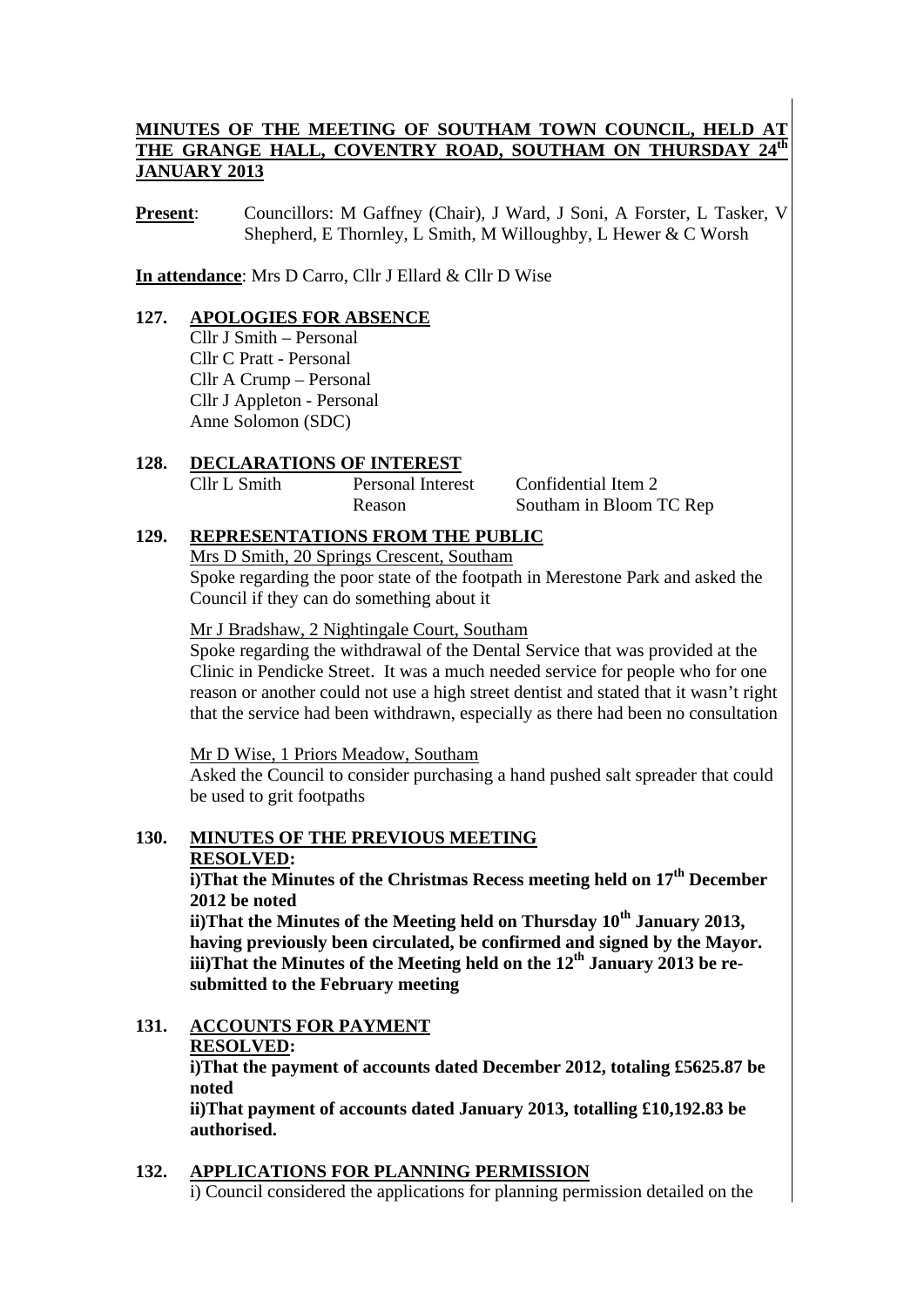# **MINUTES OF THE MEETING OF SOUTHAM TOWN COUNCIL, HELD AT THE GRANGE HALL, COVENTRY ROAD, SOUTHAM ON THURSDAY 24th JANUARY 2013**

**Present:** Councillors: M Gaffney (Chair), J Ward, J Soni, A Forster, L Tasker, V Shepherd, E Thornley, L Smith, M Willoughby, L Hewer & C Worsh

**In attendance**: Mrs D Carro, Cllr J Ellard & Cllr D Wise

### **127. APOLOGIES FOR ABSENCE**

Cllr J Smith – Personal Cllr C Pratt - Personal Cllr A Crump – Personal Cllr J Appleton - Personal Anne Solomon (SDC)

# **128. DECLARATIONS OF INTEREST** Cllr L Smith Personal Interest Confidential Item 2

Reason Southam in Bloom TC Rep

# **129. REPRESENTATIONS FROM THE PUBLIC**

Mrs D Smith, 20 Springs Crescent, Southam

Spoke regarding the poor state of the footpath in Merestone Park and asked the Council if they can do something about it

### Mr J Bradshaw, 2 Nightingale Court, Southam

Spoke regarding the withdrawal of the Dental Service that was provided at the Clinic in Pendicke Street. It was a much needed service for people who for one reason or another could not use a high street dentist and stated that it wasn't right that the service had been withdrawn, especially as there had been no consultation

### Mr D Wise, 1 Priors Meadow, Southam

Asked the Council to consider purchasing a hand pushed salt spreader that could be used to grit footpaths

# **130. MINUTES OF THE PREVIOUS MEETING RESOLVED:**

**i)That the Minutes of the Christmas Recess meeting held on 17th December 2012 be noted** 

**ii)That the Minutes of the Meeting held on Thursday 10th January 2013, having previously been circulated, be confirmed and signed by the Mayor.**  iii)That the Minutes of the Meeting held on the 12<sup>th</sup> January 2013 be re**submitted to the February meeting** 

### **131. ACCOUNTS FOR PAYMENT RESOLVED:**

**i)That the payment of accounts dated December 2012, totaling £5625.87 be noted** 

**ii)That payment of accounts dated January 2013, totalling £10,192.83 be authorised.** 

# **132. APPLICATIONS FOR PLANNING PERMISSION**

i) Council considered the applications for planning permission detailed on the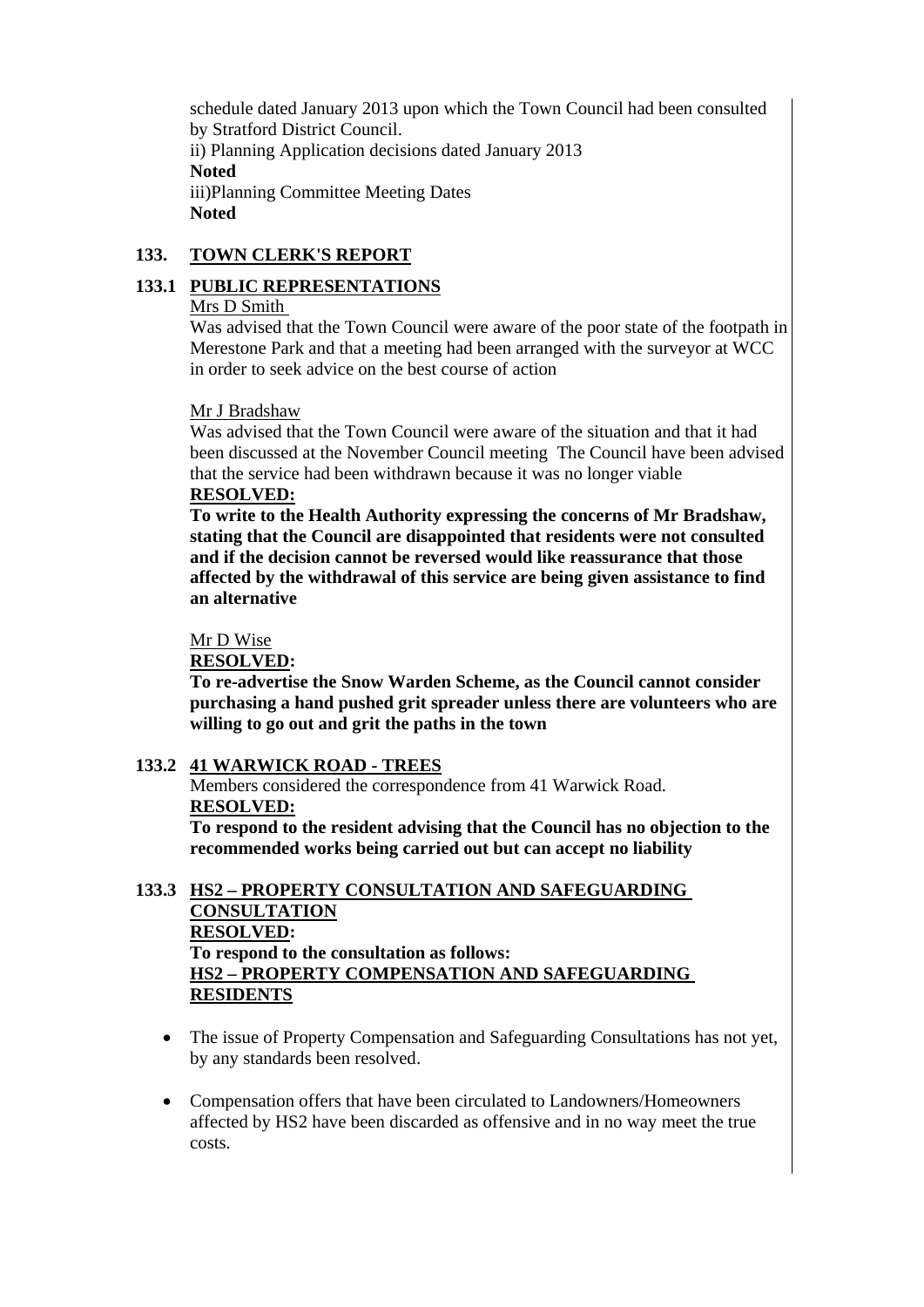schedule dated January 2013 upon which the Town Council had been consulted by Stratford District Council. ii) Planning Application decisions dated January 2013 **Noted**  iii)Planning Committee Meeting Dates **Noted** 

### **133. TOWN CLERK'S REPORT**

### **133.1 PUBLIC REPRESENTATIONS**

### Mrs D Smith

Was advised that the Town Council were aware of the poor state of the footpath in Merestone Park and that a meeting had been arranged with the surveyor at WCC in order to seek advice on the best course of action

### Mr J Bradshaw

Was advised that the Town Council were aware of the situation and that it had been discussed at the November Council meeting The Council have been advised that the service had been withdrawn because it was no longer viable **RESOLVED:**

**To write to the Health Authority expressing the concerns of Mr Bradshaw, stating that the Council are disappointed that residents were not consulted and if the decision cannot be reversed would like reassurance that those affected by the withdrawal of this service are being given assistance to find an alternative**

### Mr D Wise

**RESOLVED:** 

**To re-advertise the Snow Warden Scheme, as the Council cannot consider purchasing a hand pushed grit spreader unless there are volunteers who are willing to go out and grit the paths in the town** 

### **133.2 41 WARWICK ROAD - TREES**

Members considered the correspondence from 41 Warwick Road. **RESOLVED:**

**To respond to the resident advising that the Council has no objection to the recommended works being carried out but can accept no liability** 

### **133.3 HS2 – PROPERTY CONSULTATION AND SAFEGUARDING CONSULTATION RESOLVED: To respond to the consultation as follows: HS2 – PROPERTY COMPENSATION AND SAFEGUARDING RESIDENTS**

- The issue of Property Compensation and Safeguarding Consultations has not yet, by any standards been resolved.
- Compensation offers that have been circulated to Landowners/Homeowners affected by HS2 have been discarded as offensive and in no way meet the true costs.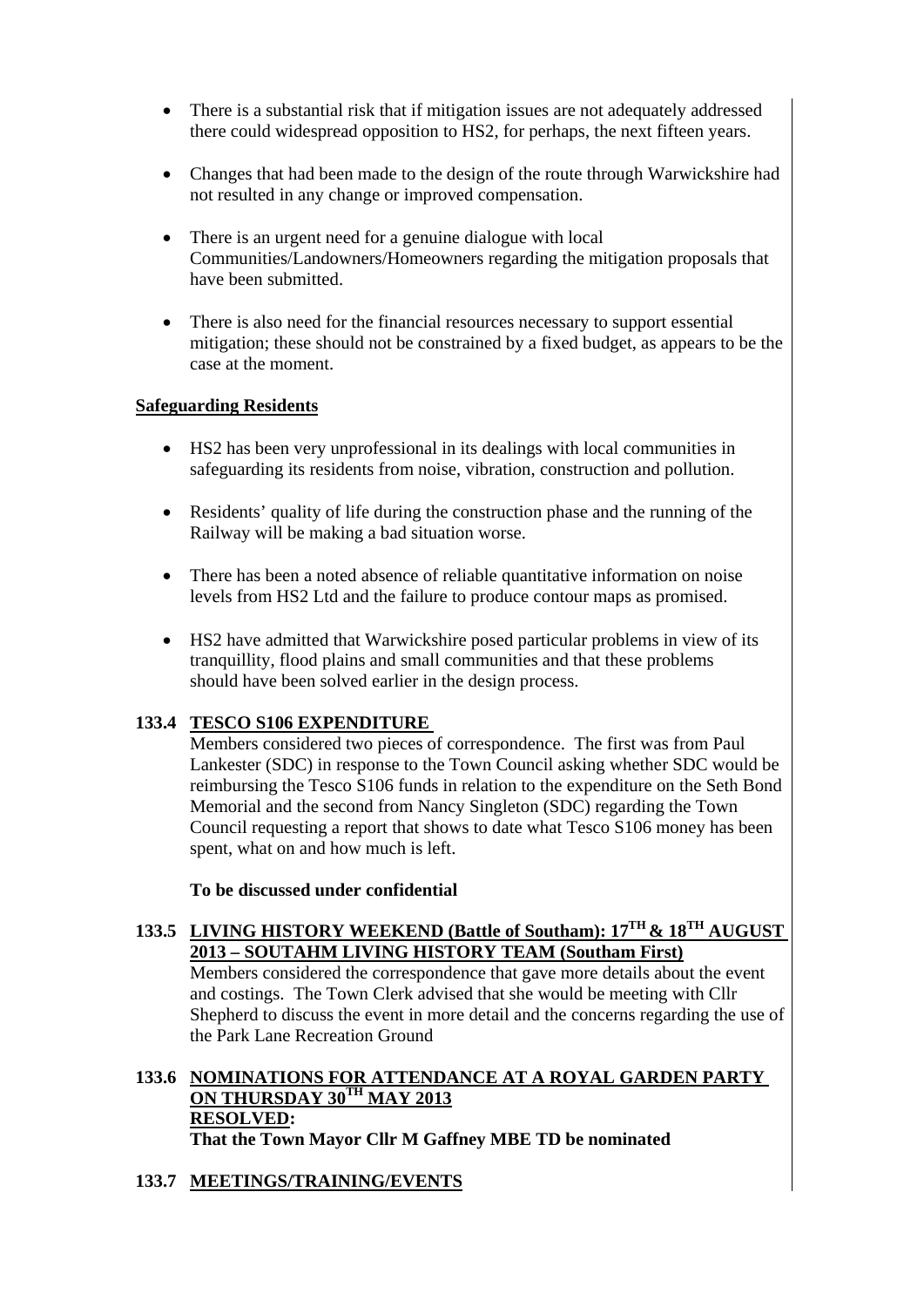- There is a substantial risk that if mitigation issues are not adequately addressed there could widespread opposition to HS2, for perhaps, the next fifteen years.
- Changes that had been made to the design of the route through Warwickshire had not resulted in any change or improved compensation.
- There is an urgent need for a genuine dialogue with local Communities/Landowners/Homeowners regarding the mitigation proposals that have been submitted.
- There is also need for the financial resources necessary to support essential mitigation; these should not be constrained by a fixed budget, as appears to be the case at the moment.

### **Safeguarding Residents**

- HS2 has been very unprofessional in its dealings with local communities in safeguarding its residents from noise, vibration, construction and pollution.
- Residents' quality of life during the construction phase and the running of the Railway will be making a bad situation worse.
- There has been a noted absence of reliable quantitative information on noise levels from HS2 Ltd and the failure to produce contour maps as promised.
- HS2 have admitted that Warwickshire posed particular problems in view of its tranquillity, flood plains and small communities and that these problems should have been solved earlier in the design process.

# **133.4 TESCO S106 EXPENDITURE**

Members considered two pieces of correspondence. The first was from Paul Lankester (SDC) in response to the Town Council asking whether SDC would be reimbursing the Tesco S106 funds in relation to the expenditure on the Seth Bond Memorial and the second from Nancy Singleton (SDC) regarding the Town Council requesting a report that shows to date what Tesco S106 money has been spent, what on and how much is left.

**To be discussed under confidential** 

### 133.5 LIVING HISTORY WEEKEND (Battle of Southam):  $17<sup>TH</sup>$  &  $18<sup>TH</sup>$  AUGUST **2013 – SOUTAHM LIVING HISTORY TEAM (Southam First)**

Members considered the correspondence that gave more details about the event and costings. The Town Clerk advised that she would be meeting with Cllr Shepherd to discuss the event in more detail and the concerns regarding the use of the Park Lane Recreation Ground

**133.6 NOMINATIONS FOR ATTENDANCE AT A ROYAL GARDEN PARTY ON THURSDAY 30TH MAY 2013 RESOLVED: That the Town Mayor Cllr M Gaffney MBE TD be nominated** 

# **133.7 MEETINGS/TRAINING/EVENTS**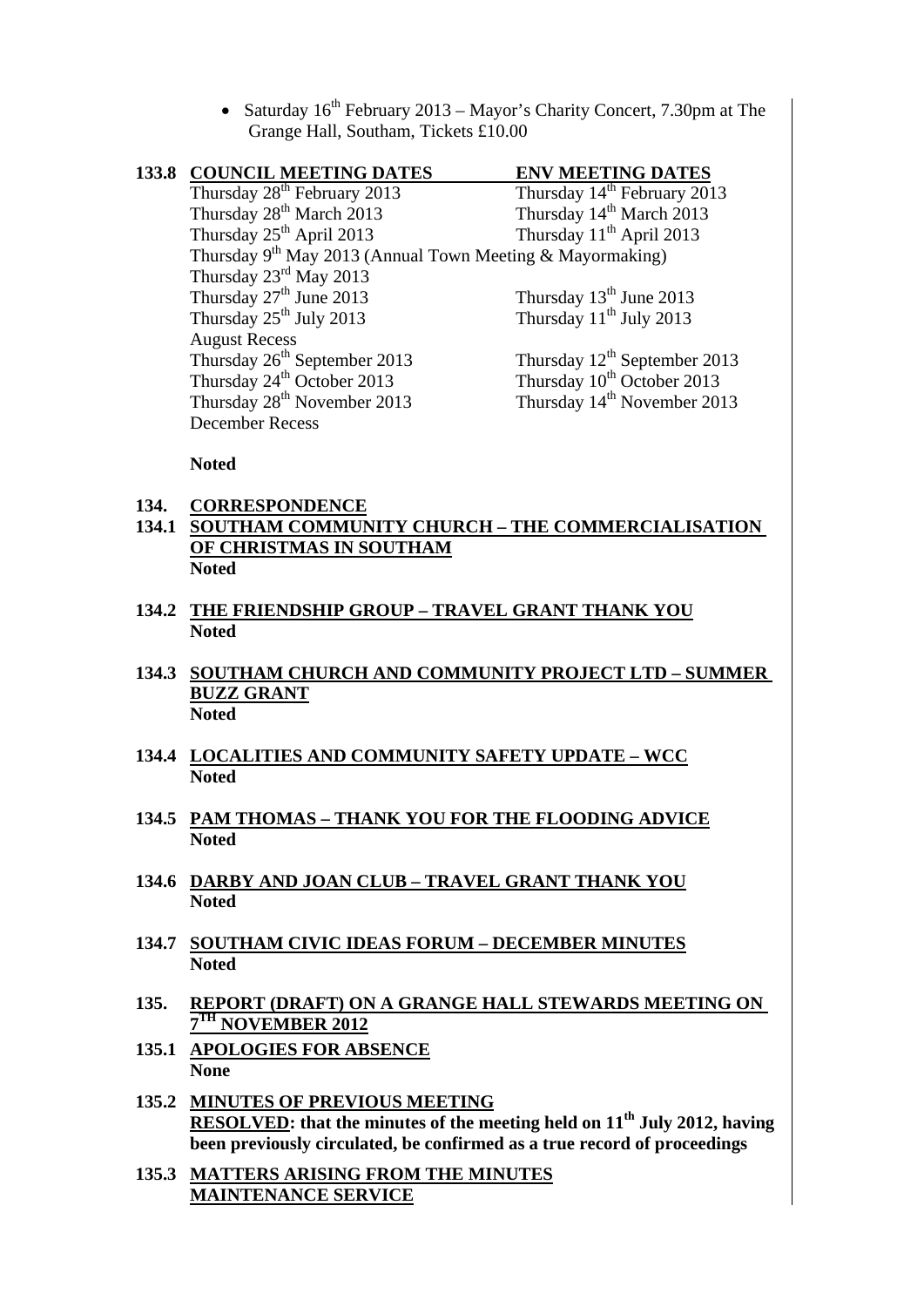• Saturday  $16^{th}$  February 2013 – Mayor's Charity Concert, 7.30pm at The Grange Hall, Southam, Tickets £10.00

| 133.8 | <b>COUNCIL MEETING DATES</b>                                          | <b>ENV MEETING DATES</b>                |
|-------|-----------------------------------------------------------------------|-----------------------------------------|
|       | Thursday 28 <sup>th</sup> February 2013                               | Thursday 14 <sup>th</sup> February 2013 |
|       | Thursday 28 <sup>th</sup> March 2013                                  | Thursday 14 <sup>th</sup> March 2013    |
|       | Thursday 25 <sup>th</sup> April 2013                                  | Thursday 11 <sup>th</sup> April 2013    |
|       | Thursday 9 <sup>th</sup> May 2013 (Annual Town Meeting & Mayormaking) |                                         |
|       | Thursday $23^{\text{rd}}$ May 2013                                    |                                         |
|       | Thursday $27th$ June 2013                                             | Thursday 13 <sup>th</sup> June 2013     |
|       | Thursday $25^{th}$ July 2013                                          | Thursday $11^{th}$ July 2013            |
|       | <b>August Recess</b>                                                  |                                         |
|       | Thursday 26 <sup>th</sup> September 2013                              | Thursday $12^{th}$ September 2013       |
|       | Thursday 24 <sup>th</sup> October 2013                                | Thursday 10 <sup>th</sup> October 2013  |
|       | Thursday 28 <sup>th</sup> November 2013                               | Thursday 14 <sup>th</sup> November 2013 |
|       | <b>December Recess</b>                                                |                                         |

**Noted** 

#### **134. CORRESPONDENCE**

- **134.1 SOUTHAM COMMUNITY CHURCH THE COMMERCIALISATION OF CHRISTMAS IN SOUTHAM Noted**
- **134.2 THE FRIENDSHIP GROUP TRAVEL GRANT THANK YOU Noted**
- **134.3 SOUTHAM CHURCH AND COMMUNITY PROJECT LTD SUMMER BUZZ GRANT Noted**
- **134.4 LOCALITIES AND COMMUNITY SAFETY UPDATE WCC Noted**
- **134.5 PAM THOMAS THANK YOU FOR THE FLOODING ADVICE Noted**
- **134.6 DARBY AND JOAN CLUB TRAVEL GRANT THANK YOU Noted**
- **134.7 SOUTHAM CIVIC IDEAS FORUM DECEMBER MINUTES Noted**
- **135. REPORT (DRAFT) ON A GRANGE HALL STEWARDS MEETING ON 7TH NOVEMBER 2012**
- **135.1 APOLOGIES FOR ABSENCE None**
- **135.2 MINUTES OF PREVIOUS MEETING RESOLVED: that the minutes of the meeting held on 11th July 2012, having been previously circulated, be confirmed as a true record of proceedings**
- **135.3 MATTERS ARISING FROM THE MINUTES MAINTENANCE SERVICE**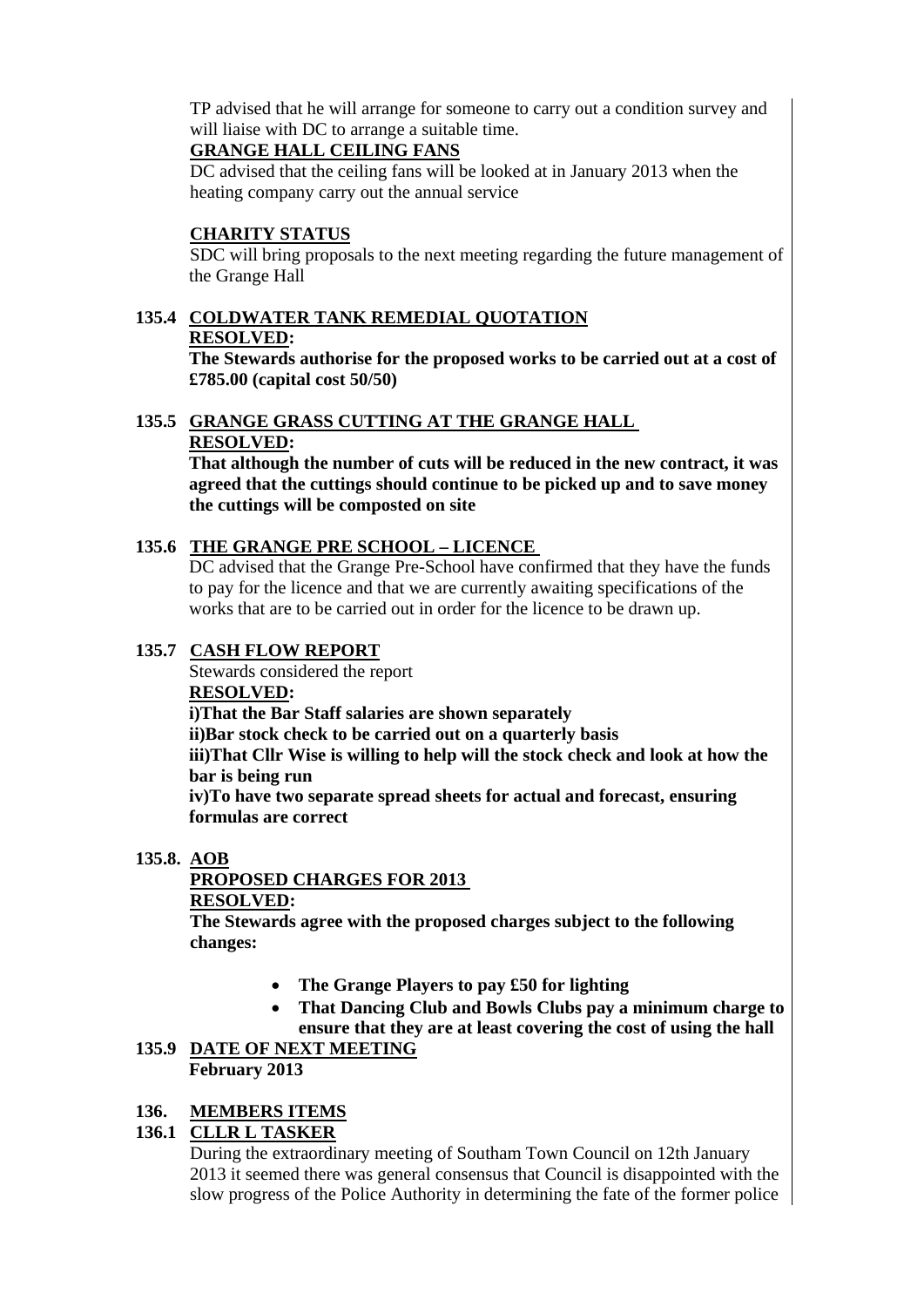TP advised that he will arrange for someone to carry out a condition survey and will liaise with DC to arrange a suitable time.

# **GRANGE HALL CEILING FANS**

DC advised that the ceiling fans will be looked at in January 2013 when the heating company carry out the annual service

# **CHARITY STATUS**

 SDC will bring proposals to the next meeting regarding the future management of the Grange Hall

# **135.4 COLDWATER TANK REMEDIAL QUOTATION RESOLVED:**

**The Stewards authorise for the proposed works to be carried out at a cost of £785.00 (capital cost 50/50)** 

### **135.5 GRANGE GRASS CUTTING AT THE GRANGE HALL RESOLVED:**

 **That although the number of cuts will be reduced in the new contract, it was agreed that the cuttings should continue to be picked up and to save money the cuttings will be composted on site** 

### **135.6 THE GRANGE PRE SCHOOL – LICENCE**

DC advised that the Grange Pre-School have confirmed that they have the funds to pay for the licence and that we are currently awaiting specifications of the works that are to be carried out in order for the licence to be drawn up.

### **135.7 CASH FLOW REPORT**

Stewards considered the report **RESOLVED: i)That the Bar Staff salaries are shown separately ii)Bar stock check to be carried out on a quarterly basis iii)That Cllr Wise is willing to help will the stock check and look at how the bar is being run iv)To have two separate spread sheets for actual and forecast, ensuring formulas are correct** 

### **135.8. AOB**

# **PROPOSED CHARGES FOR 2013**

# **RESOLVED:**

**The Stewards agree with the proposed charges subject to the following changes:** 

- **The Grange Players to pay £50 for lighting**
- **That Dancing Club and Bowls Clubs pay a minimum charge to ensure that they are at least covering the cost of using the hall**

### **135.9 DATE OF NEXT MEETING February 2013**

### **136. MEMBERS ITEMS**

# **136.1 CLLR L TASKER**

During the extraordinary meeting of Southam Town Council on 12th January 2013 it seemed there was general consensus that Council is disappointed with the slow progress of the Police Authority in determining the fate of the former police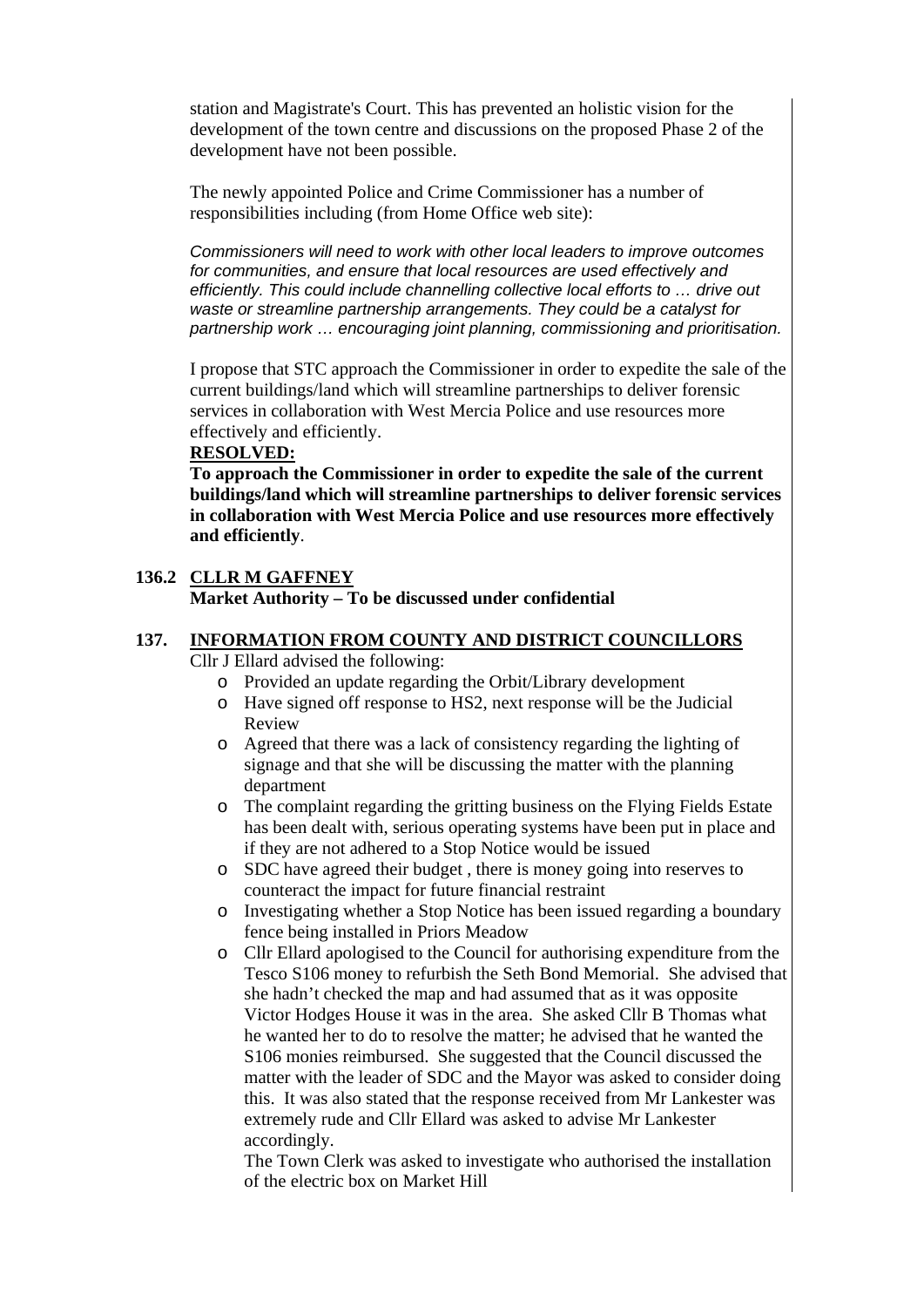station and Magistrate's Court. This has prevented an holistic vision for the development of the town centre and discussions on the proposed Phase 2 of the development have not been possible.

The newly appointed Police and Crime Commissioner has a number of responsibilities including (from Home Office web site):

*Commissioners will need to work with other local leaders to improve outcomes for communities, and ensure that local resources are used effectively and efficiently. This could include channelling collective local efforts to … drive out waste or streamline partnership arrangements. They could be a catalyst for partnership work … encouraging joint planning, commissioning and prioritisation.*

I propose that STC approach the Commissioner in order to expedite the sale of the current buildings/land which will streamline partnerships to deliver forensic services in collaboration with West Mercia Police and use resources more effectively and efficiently.

### **RESOLVED:**

**To approach the Commissioner in order to expedite the sale of the current buildings/land which will streamline partnerships to deliver forensic services in collaboration with West Mercia Police and use resources more effectively and efficiently**.

#### **136.2 CLLR M GAFFNEY Market Authority – To be discussed under confidential**

**137. INFORMATION FROM COUNTY AND DISTRICT COUNCILLORS**

Cllr J Ellard advised the following:

- o Provided an update regarding the Orbit/Library development
- o Have signed off response to HS2, next response will be the Judicial Review
- o Agreed that there was a lack of consistency regarding the lighting of signage and that she will be discussing the matter with the planning department
- o The complaint regarding the gritting business on the Flying Fields Estate has been dealt with, serious operating systems have been put in place and if they are not adhered to a Stop Notice would be issued
- o SDC have agreed their budget , there is money going into reserves to counteract the impact for future financial restraint
- o Investigating whether a Stop Notice has been issued regarding a boundary fence being installed in Priors Meadow
- o Cllr Ellard apologised to the Council for authorising expenditure from the Tesco S106 money to refurbish the Seth Bond Memorial. She advised that she hadn't checked the map and had assumed that as it was opposite Victor Hodges House it was in the area. She asked Cllr B Thomas what he wanted her to do to resolve the matter; he advised that he wanted the S106 monies reimbursed. She suggested that the Council discussed the matter with the leader of SDC and the Mayor was asked to consider doing this. It was also stated that the response received from Mr Lankester was extremely rude and Cllr Ellard was asked to advise Mr Lankester accordingly.

The Town Clerk was asked to investigate who authorised the installation of the electric box on Market Hill